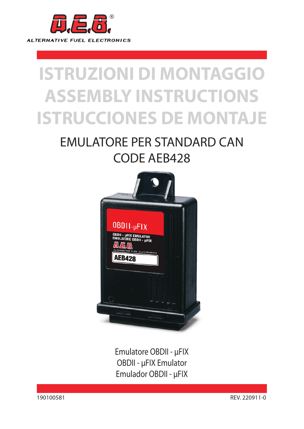

# **ISTRUZIONI DI MONTAGGIO ASSEMBLY INSTRUCTIONS ISTRUCCIONES DE MONTAJE**

# EMULATORE PER STANDARD CAN CODE AEB428



Emulatore OBDII - µFIX OBDII - µFIX Emulator Emulador OBDII - µFIX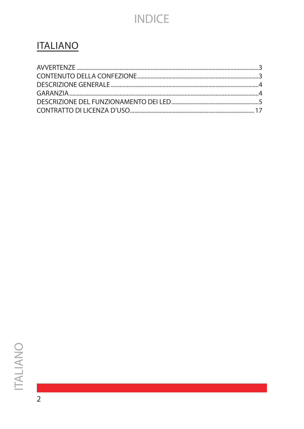# **INDICE**

### **ITALIANO**

 $\overline{2}$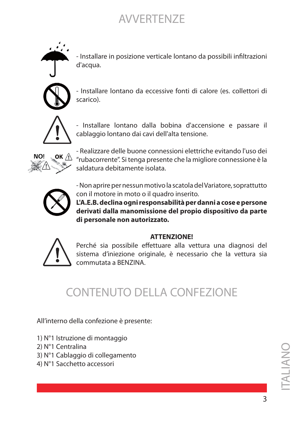### AVVERTENZE

<span id="page-2-0"></span>

- Installare in posizione verticale lontano da possibili infiltrazioni d'acqua.



- Installare lontano da eccessive fonti di calore (es. collettori di scarico).



- Installare lontano dalla bobina d'accensione e passare il cablaggio lontano dai cavi dell'alta tensione.



- Realizzare delle buone connessioni elettriche evitando l'uso dei "rubacorrente". Si tenga presente che la migliore connessione è la saldatura debitamente isolata.



- Non aprire per nessun motivo la scatola del Variatore, soprattutto con il motore in moto o il quadro inserito.

**L'A.E.B. declina ogni responsabilità per danni a cose e persone derivati dalla manomissione del propio dispositivo da parte di personale non autorizzato.**

#### **ATTENZIONE!**



Perché sia possibile effettuare alla vettura una diagnosi del sistema d'iniezione originale, è necessario che la vettura sia commutata a BENZINA.

### CONTENUTO DELLA CONFEZIONE

All'interno della confezione è presente:

- 1) N°1 Istruzione di montaggio
- 2) N°1 Centralina
- 3) N°1 Cablaggio di collegamento
- 4) N°1 Sacchetto accessori

ITALIANO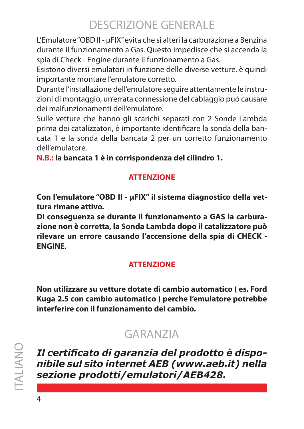# DESCRIZIONE GENERALE

<span id="page-3-0"></span>L'Emulatore "OBD II - µFIX" evita che si alteri la carburazione a Benzina durante il funzionamento a Gas. Questo impedisce che si accenda la spia di Check - Engine durante il funzionamento a Gas.

Esistono diversi emulatori in funzione delle diverse vetture, è quindi importante montare l'emulatore corretto.

Durante l'installazione dell'emulatore seguire attentamente le instruzioni di montaggio, un'errata connessione del cablaggio può causare dei malfunzionamenti dell'emulatore.

Sulle vetture che hanno gli scarichi separati con 2 Sonde Lambda prima dei catalizzatori, è importante identificare la sonda della bancata 1 e la sonda della bancata 2 per un corretto funzionamento dell'emulatore.

**N.B.: la bancata 1 è in corrispondenza del cilindro 1.**

### **ATTENZIONE**

**Con l'emulatore "OBD II - µFIX" il sistema diagnostico della vettura rimane attivo.**

**Di conseguenza se durante il funzionamento a GAS la carburazione non è corretta, la Sonda Lambda dopo il catalizzatore può rilevare un errore causando l'accensione della spia di CHECK - ENGINE.**

### **ATTENZIONE**

**Non utilizzare su vetture dotate di cambio automatico ( es. Ford Kuga 2.5 con cambio automatico ) perche l'emulatore potrebbe interferire con il funzionamento del cambio.**

### GARANZIA

*Il certificato di garanzia del prodotto è disponibile sul sito internet AEB (www.aeb.it) nella sezione prodotti/emulatori/AEB428.*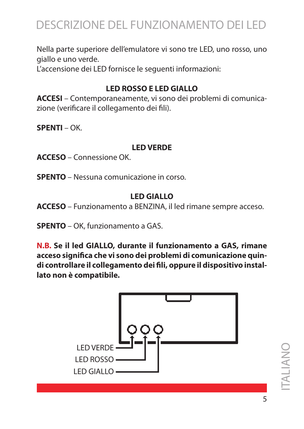<span id="page-4-0"></span>Nella parte superiore dell'emulatore vi sono tre LED, uno rosso, uno giallo e uno verde.

L'accensione dei LED fornisce le seguenti informazioni:

### **LED ROSSO E LED GIALLO**

**ACCESI** – Contemporaneamente, vi sono dei problemi di comunicazione (verificare il collegamento dei fili).

**SPENTI** – OK.

#### **LED VERDE**

**ACCESO** – Connessione OK.

**SPENTO** – Nessuna comunicazione in corso.

### **LED GIALLO**

**ACCESO** – Funzionamento a BENZINA, il led rimane sempre acceso.

**SPENTO** – OK, funzionamento a GAS.

**N.B. Se il led GIALLO, durante il funzionamento a GAS, rimane acceso significa che vi sono dei problemi di comunicazione quindi controllare il collegamento dei fili, oppure il dispositivo installato non è compatibile.**

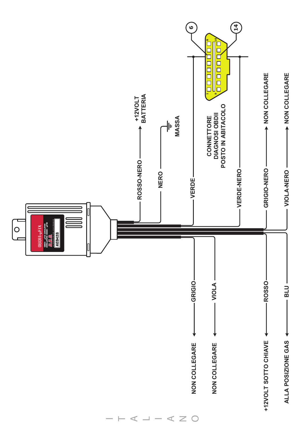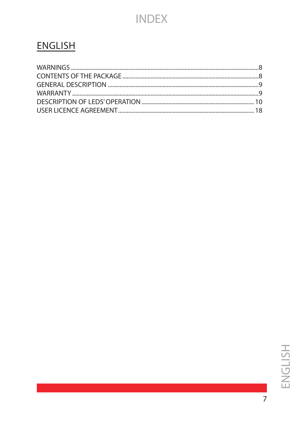### **INDEX**

### **ENGLISH**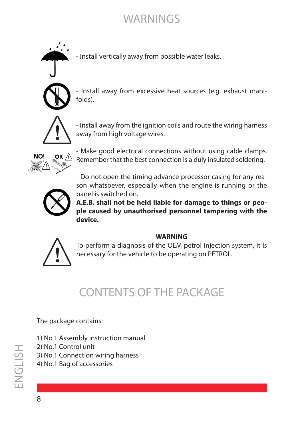

- Install vertically away from possible water leaks.

<span id="page-7-0"></span>

- Install away from excessive heat sources (e.g. exhaust manifolds).



- Install away from the ignition coils and route the wiring harness away from high voltage wires.



- Make good electrical connections without using cable clamps. Remember that the best connection is a duly insulated soldering.

- Do not open the timing advance processor casing for any reason whatsoever, especially when the engine is running or the panel is switched on.

**A.E.B. shall not be held liable for damage to things or people caused by unauthorised personnel tampering with the device.**

#### **WARNING**



To perform a diagnosis of the OEM petrol injection system, it is necessary for the vehicle to be operating on PETROL.

# CONTENTS OF THE PACKAGE

The package contains:

- 1) No.1 Assembly instruction manual
- 2) No.1 Control unit
- 3) No.1 Connection wiring harness
- 4) No.1 Bag of accessories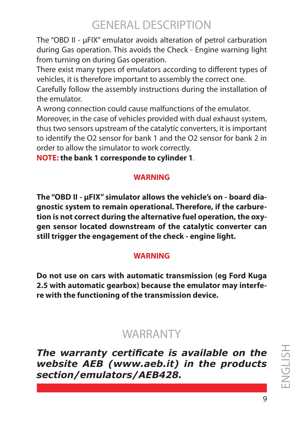## GENERAL DESCRIPTION

<span id="page-8-0"></span>The "OBD II - µFIX" emulator avoids alteration of petrol carburation during Gas operation. This avoids the Check - Engine warning light from turning on during Gas operation.

There exist many types of emulators according to different types of vehicles, it is therefore important to assembly the correct one.

Carefully follow the assembly instructions during the installation of the emulator.

A wrong connection could cause malfunctions of the emulator.

Moreover, in the case of vehicles provided with dual exhaust system, thus two sensors upstream of the catalytic converters, it is important to identify the O2 sensor for bank 1 and the O2 sensor for bank 2 in order to allow the simulator to work correctly.

**NOTE: the bank 1 corresponde to cylinder 1**.

### **WARNING**

**The "OBD II - µFIX" simulator allows the vehicle's on - board diagnostic system to remain operational. Therefore, if the carburetion is not correct during the alternative fuel operation, the oxygen sensor located downstream of the catalytic converter can still trigger the engagement of the check - engine light.** 

### **WARNING**

**Do not use on cars with automatic transmission (eg Ford Kuga 2.5 with automatic gearbox) because the emulator may interfere with the functioning of the transmission device.**

### **WARRANTY**

*The warranty certificate is available on the website AEB (www.aeb.it) in the products section/emulators/AEB428.*

ENGLISHHSLIPNE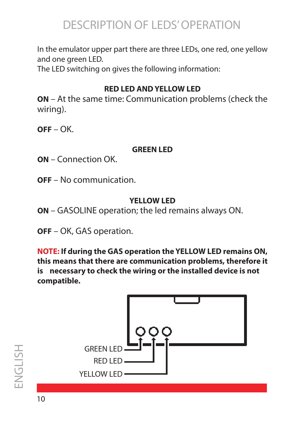# DESCRIPTION OF LEDS' OPERATION

<span id="page-9-0"></span>In the emulator upper part there are three LEDs, one red, one yellow and one green LED.

The LED switching on gives the following information:

### **RED LED AND YELLOW LED**

**ON** – At the same time: Communication problems (check the wiring).

**OFF** – OK.

### **GREEN LED**

- **ON** Connection OK.
- **OFF** No communication.

### **YELLOW LED**

**ON** – GASOLINE operation; the led remains always ON.

**OFF** – OK, GAS operation.

**NOTE: If during the GAS operation the YELLOW LED remains ON, this means that there are communication problems, therefore it is necessary to check the wiring or the installed device is not compatible.**

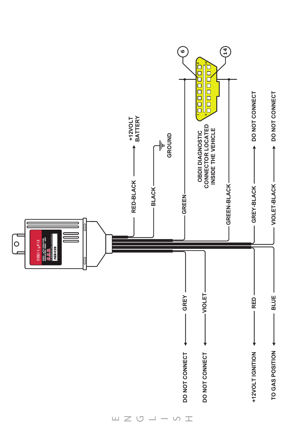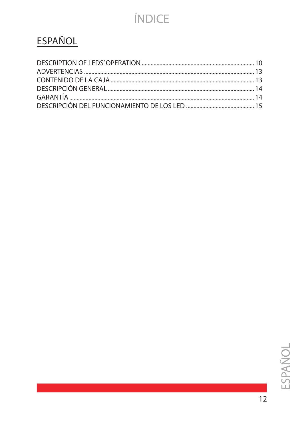# ÍNDICE

# **ESPAÑOL**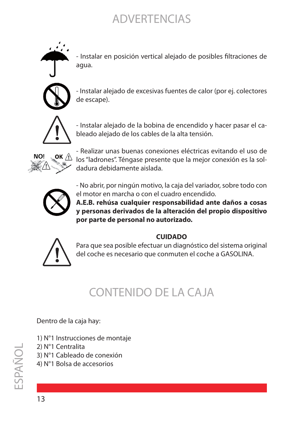### ADVERTENCIAS

<span id="page-12-0"></span>

- Instalar en posición vertical alejado de posibles filtraciones de agua.



- Instalar alejado de excesivas fuentes de calor (por ej. colectores de escape).



- Instalar alejado de la bobina de encendido y hacer pasar el cableado alejado de los cables de la alta tensión.



- Realizar unas buenas conexiones eléctricas evitando el uso de los "ladrones". Téngase presente que la mejor conexión es la soldadura debidamente aislada.



- No abrir, por ningún motivo, la caja del variador, sobre todo con el motor en marcha o con el cuadro encendido.

**A.E.B. rehúsa cualquier responsabilidad ante daños a cosas y personas derivados de la alteración del propio dispositivo por parte de personal no autorizado.**

#### **CUIDADO**



Para que sea posible efectuar un diagnóstico del sistema original del coche es necesario que conmuten el coche a GASOLINA.

# CONTENIDO DE LA CAJA

#### Dentro de la caja hay:

- 1) N°1 Instrucciones de montaje
- 2) N°1 Centralita
- 3) N°1 Cableado de conexión
- 4) N°1 Bolsa de accesorios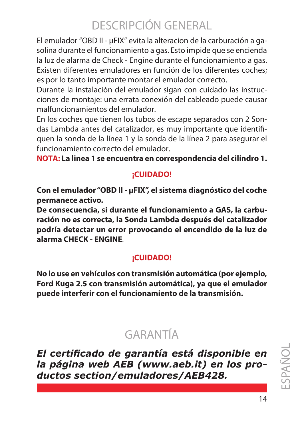# DESCRIPCIÓN GENERAL

<span id="page-13-0"></span>El emulador "OBD II - µFIX" evita la alteracion de la carburación a gasolina durante el funcionamiento a gas. Esto impide que se encienda la luz de alarma de Check - Engine durante el funcionamiento a gas. Existen diferentes emuladores en función de los diferentes coches; es por lo tanto importante montar el emulador correcto.

Durante la instalación del emulador sigan con cuidado las instrucciones de montaje: una errata conexión del cableado puede causar malfuncionamientos del emulador.

En los coches que tienen los tubos de escape separados con 2 Sondas Lambda antes del catalizador, es muy importante que identifiquen la sonda de la línea 1 y la sonda de la línea 2 para asegurar el funcionamiento correcto del emulador.

**NOTA: La linea 1 se encuentra en correspondencia del cilindro 1.**

### **¡CUIDADO!**

**Con el emulador "OBD II - µFIX", el sistema diagnóstico del coche permanece activo.**

**De consecuencia, si durante el funcionamiento a GAS, la carburación no es correcta, la Sonda Lambda después del catalizador podría detectar un error provocando el encendido de la luz de alarma CHECK - ENGINE**.

### **¡CUIDADO!**

**No lo use en vehículos con transmisión automática (por ejemplo, Ford Kuga 2.5 con transmisión automática), ya que el emulador puede interferir con el funcionamiento de la transmisión.**

# GARANTÍA

*El certificado de garantía está disponible en la página web AEB (www.aeb.it) en los productos section/emuladores/AEB428.*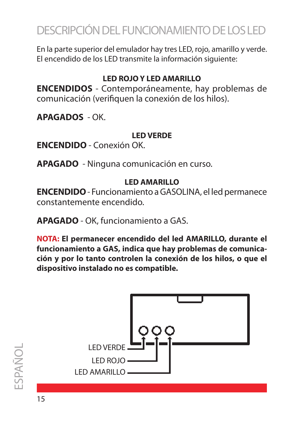# <span id="page-14-0"></span>DESCRIPCIÓN DEL FUNCIONAMIENTO DE LOS LED

En la parte superior del emulador hay tres LED, rojo, amarillo y verde. El encendido de los LED transmite la información siguiente:

### **LED ROJO Y LED AMARILLO**

**ENCENDIDOS** - Contemporáneamente, hay problemas de comunicación (verifiquen la conexión de los hilos).

**APAGADOS** - OK.

### **LED VERDE**

**ENCENDIDO** - Conexión OK.

**APAGADO** - Ninguna comunicación en curso.

### **LED AMARILLO**

**ENCENDIDO** - Funcionamiento a GASOLINA, el led permanece constantemente encendido.

**APAGADO** - OK, funcionamiento a GAS.

**NOTA: El permanecer encendido del led AMARILLO, durante el funcionamiento a GAS, indica que hay problemas de comunicación y por lo tanto controlen la conexión de los hilos, o que el dispositivo instalado no es compatible.**

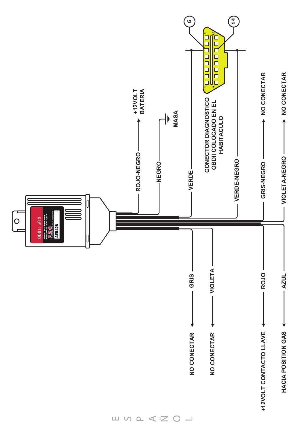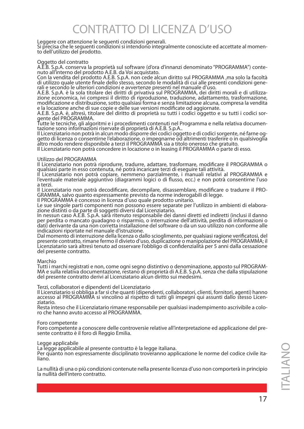# CONTRATTO DI LICENZA D'USO

<span id="page-16-0"></span>

Leggere con attenzione le seguenti condizioni generali.<br>Si precisa che le seguenti condizioni si intendono integralmente conosciute ed accettate al momen-<br>to dell'utilizzo del prodotto.

#### Oggetto del contratto

A.E.B. S.p.A. conserva la proprietà sul software (d'ora d'innanzi denominato "PROGRAMMA") conte- nuto all'interno del prodotto A.E.B. da Voi acquistato.

Con la vendita del prodotto A.E.B. S.p.A. non cede alcun diritto sul PROGRAMMA ,ma solo la facoltà<br>di utilizzo quale utente finale dello stesso, secondo le modalità di cui alle presenti condizioni genedi utilizzo quale utente finale stesso, secondo le ulteriori condizioni e avvertenze presenti nel manuale d'uso.

A.E.B. S.p.A. è la sola titolare dei diritti di privativa sul PROGRAMMA, dei diritti morali e di utilizza- zione economica, ivi compresi il diritto di riproduzione, traduzione, adattamento, trasformazione, modificazione e distribuzione, sotto qualsiasi forma e senza limitazione alcuna, compresa la vendita

e la locazione anche di sue copie e delle sue versioni modificate od aggiornate.<br>A.E.B. S.p.A. è, altresì, titolare del diritto di proprietà su tutti i codici oggetto e su tutti i codici sor-<br>gente del PROGRAMMA.

Tutte le tecniche, gli algoritmi e i procedimenti contenuti nel Programma e nella relativa documen-<br>tazione sono informazioni riservate di proprietà di A.E.B. S.p.A..<br>Il Licenziatario non potrà in alcun modo disporre dei c

Il Licenziatario non potrà in alcun modò disporre dei codici oggetto e di codici sorgente, né farne og-<br>getto di licenza o consentirne l'elaborazione, o impegnarne od altrimenti trasferire o in qualsivoglia<br>altro modo rend

Il Licenziatario non potrà concedere in locazione o in leasing il PROGRAMMA o parte di esso.

#### Utilizzo del PROGRAMMA

Il Licenziatario non potrà riprodurre, tradurre, adattare, trasformare, modificare il PROGRAMMA o

qualsiasi parte in esso contenuta, né potrà incaricare terzi di eseguire tali attività. Il Licenziatario non potrà copiare, nemmeno parzialmente, i manuali relativi al PROGRAMMA e l'eventuale materiale aggiuntivo (diagrammi logici o di flusso, ecc.) e non potrà consentirne l'uso a terzi.<br>
a terzi.<br>
Il Licenziatario non potrà decodificare, decompilare, disassemblare, modificare o tradurre il PRO-

Il Licenziatario non potrà decodificare, decompilare, disassemblare, modificare o tradurre il PRO- GRAMMA, salvo quanto espressamente previsto da norme inderogabili di legge.

Il PROGRAMMA è concesso in licenza d'uso quale prodotto unitario.

Le sue singole parti componenti non possono essere separate per l'utilizzo in ambienti di elabora- zione distinti o da parte di soggetti diversi dal Licenziatario.

In nessun caso A.E.B. S.p.A. sarà ritenuto responsabile dei danni diretti ed indiretti (inclusi il danno per perdita o mancato guadagno o risparmio, o interruzione dell'attività, perdita di informazioni o dati) derivante da una non corretta installazione del software o da un suo utilizzo non conforme alle

indicazioni riportate nel manuale d'istruzione. Dal momento di interruzione della licenza o dallo scioglimento, per qualsiasi ragione verificatosi, del presente contratto, rimane fermo il divieto d'uso, duplicazione o manipolazione del PROGRAMMA; il Licenziatario sarà altresì tenuto ad osservare l'obbligo di confidenzialità per 5 anni dalla cessazione del presente contratto.

Marchio<br>Tutti i marchi registrati e non, come ogni segno distintivo o denominazione, apposto sul PROGRAM-Tutti i marchi registrati e non, come ogni segno distintivo o denominazione, apposto sul PROGRAM- MA e sulla relativa documentazione, restano di proprietà di A.E.B. S.p.A. senza che dalla stipulazione del presente contratto derivi al Licenziatario alcun diritto sui medesimi.

#### Terzi, collaboratori e dipendenti del Licenziatario

Il Licenziatario si obbliga a far sì che quanti (dipendenti, collaboratori, clienti, fornitori, agenti) hanno<br>accesso al PROGRAMMA si vincolino al rispetto di tutti gli impegni qui assunti dallo stesso Licen-<br>ziatario.

Resta inteso che il Licenziatario rimane responsabile per qualsiasi inadempimento ascrivibile a colo- ro che hanno avuto accesso al PROGRAMMA.

#### Foro competente

Foro competente a conoscere delle controversie relative all'interpretazione ed applicazione del pre- sente contratto è il foro di Reggio Emilia.

Legge applicabile La legge applicabile al presente contratto è la legge italiana.

Per quanto non espressamente disciplinato troveranno applicazione le norme del codice civile ita- liano.

La nullità di una o più condizioni contenute nella presente licenza d'uso non comporterà in principio la nullità dell'intero contratto.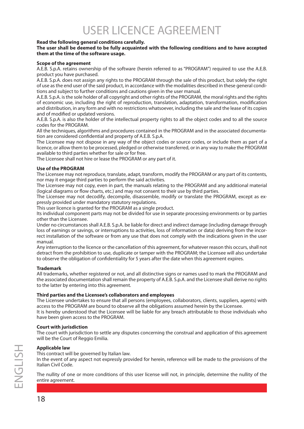# USER LICENCE AGREEMENT

#### <span id="page-17-0"></span>**Read the following general conditions carefully.**

#### **The user shall be deemed to be fully acquainted with the following conditions and to have accepted them at the time of the software usage.**

#### **Scope of the agreement**

A.E.B. S.p.A. retains ownership of the software (herein referred to as "PROGRAM") required to use the A.E.B. product you have purchased.

A.E.B. S.p.A. does not assign any rights to the PROGRAM through the sale of this product, but solely the right of use as the end user of the said product, in accordance with the modalities described in these general conditions and subject to further conditions and cautions given in the user manual.

A.E.B. S.p.A. is the sole holder of all copyright and other rights of the PROGRAM, the moral rights and the rights of economic use, including the right of reproduction, translation, adaptation, transformation, modification and distribution, in any form and with no restrictions whatsoever, including the sale and the lease of its copies and of modified or updated versions.

A.E.B. S.p.A. is also the holder of the intellectual property rights to all the object codes and to all the source codes for the PROGRAM.

All the techniques, algorithms and procedures contained in the PROGRAM and in the associated documentation are considered confidential and property of A.E.B. S.p.A.

The Licensee may not dispose in any way of the object codes or source codes, or include them as part of a licence, or allow them to be processed, pledged or otherwise transferred, or in any way to make the PROGRAM available to third parties whether for sale or for free.

The Licensee shall not hire or lease the PROGRAM or any part of it.

#### **Use of the PROGRAM**

The Licensee may not reproduce, translate, adapt, transform, modify the PROGRAM or any part of its contents, nor may it engage third parties to perform the said activities.

The Licensee may not copy, even in part, the manuals relating to the PROGRAM and any additional material (logical diagrams or flow charts, etc.) and may not consent to their use by third parties.

The Licensee may not decodify, decompile, disassemble, modify or translate the PROGRAM, except as expressly provided under mandatory statutory regulations.

This user licence is granted for the PROGRAM as a single product.

Its individual component parts may not be divided for use in separate processing environments or by parties other than the Licensee.

Under no circumstances shall A.E.B. S.p.A. be liable for direct and indirect damage (including damage through loss of earnings or savings, or interruptions to activities, loss of information or data) deriving from the incorrect installation of the software or from any use that does not comply with the indications given in the user manual.

Any interruption to the licence or the cancellation of this agreement, for whatever reason this occurs, shall not detract from the prohibition to use, duplicate or tamper with the PROGRAM; the Licensee will also undertake to observe the obligation of confidentiality for 5 years after the date when this agreement expires.

#### **Trademark**

All trademarks, whether registered or not, and all distinctive signs or names used to mark the PROGRAM and the associated documentation shall remain the property of A.E.B. S.p.A. and the Licensee shall derive no rights to the latter by entering into this agreement.

#### **Third parties and the Licensee's collaborators and employees**

The Licensee undertakes to ensure that all persons (employees, collaborators, clients, suppliers, agents) with access to the PROGRAM are bound to observe all the obligations assumed herein by the Licensee. It is hereby understood that the Licensee will be liable for any breach attributable to those individuals who have been given access to the PROGRAM.

#### **Court with jurisdiction**

The court with jurisdiction to settle any disputes concerning the construal and application of this agreement will be the Court of Reggio Emilia.

#### **Applicable law**

This contract will be governed by Italian law.

In the event of any aspect not expressly provided for herein, reference will be made to the provisions of the Italian Civil Code.

The nullity of one or more conditions of this user license will not, in principle, determine the nullity of the entire agreement.